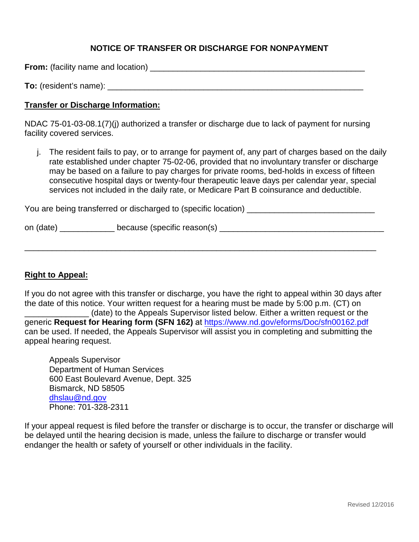# **NOTICE OF TRANSFER OR DISCHARGE FOR NONPAYMENT**

**From:** (facility name and location) \_\_\_\_\_\_\_\_\_\_\_\_\_\_\_\_\_\_\_\_\_\_\_\_\_\_\_\_\_\_\_\_\_\_\_\_\_\_\_\_\_\_\_\_\_\_\_

**To:** (resident's name): **with the set of the set of the set of the set of the set of the set of the set of the set of the set of the set of the set of the set of the set of the set of the set of the set of the set of the** 

### **Transfer or Discharge Information:**

NDAC 75-01-03-08.1(7)(j) authorized a transfer or discharge due to lack of payment for nursing facility covered services.

j. The resident fails to pay, or to arrange for payment of, any part of charges based on the daily rate established under chapter 75-02-06, provided that no involuntary transfer or discharge may be based on a failure to pay charges for private rooms, bed-holds in excess of fifteen consecutive hospital days or twenty-four therapeutic leave days per calendar year, special services not included in the daily rate, or Medicare Part B coinsurance and deductible.

You are being transferred or discharged to (specific location)

| on (date)<br>because (specific reason(s) |  |  |  |  |
|------------------------------------------|--|--|--|--|
|------------------------------------------|--|--|--|--|

\_\_\_\_\_\_\_\_\_\_\_\_\_\_\_\_\_\_\_\_\_\_\_\_\_\_\_\_\_\_\_\_\_\_\_\_\_\_\_\_\_\_\_\_\_\_\_\_\_\_\_\_\_\_\_\_\_\_\_\_\_\_\_\_\_\_\_\_\_\_\_\_\_\_\_\_\_

## **Right to Appeal:**

If you do not agree with this transfer or discharge, you have the right to appeal within 30 days after the date of this notice. Your written request for a hearing must be made by 5:00 p.m. (CT) on \_\_\_\_\_\_\_\_\_\_\_\_\_\_ (date) to the Appeals Supervisor listed below. Either a written request or the generic **Request for Hearing form (SFN 162)** at <https://www.nd.gov/eforms/Doc/sfn00162.pdf> can be used. If needed, the Appeals Supervisor will assist you in completing and submitting the appeal hearing request.

Appeals Supervisor Department of Human Services 600 East Boulevard Avenue, Dept. 325 Bismarck, ND 58505 [dhslau@nd.gov](mailto:dhslau@nd.gov) Phone: 701-328-2311

If your appeal request is filed before the transfer or discharge is to occur, the transfer or discharge will be delayed until the hearing decision is made, unless the failure to discharge or transfer would endanger the health or safety of yourself or other individuals in the facility.